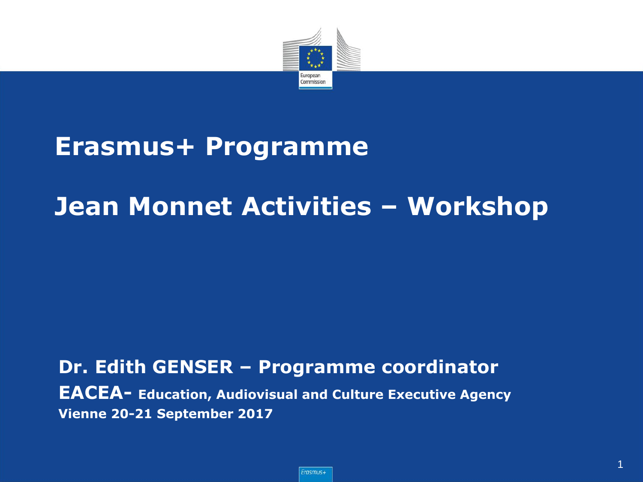

#### **Erasmus+ Programme**

#### **Jean Monnet Activities – Workshop**

#### **Dr. Edith GENSER – Programme coordinator EACEA- Education, Audiovisual and Culture Executive Agency Vienne 20-21 September 2017**

1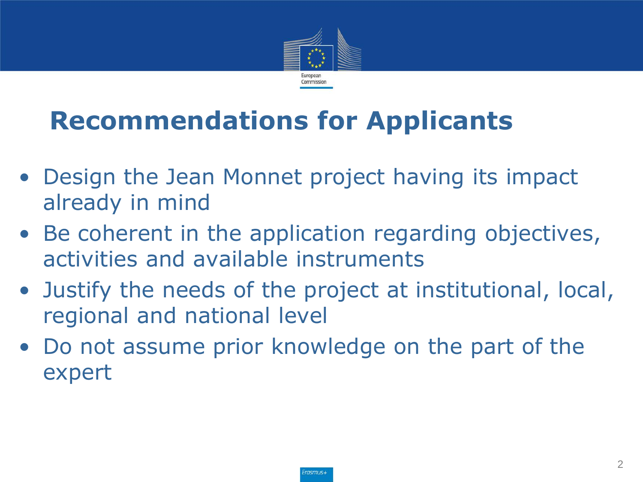

## **Recommendations for Applicants**

- Design the Jean Monnet project having its impact already in mind
- Be coherent in the application regarding objectives, activities and available instruments
- Justify the needs of the project at institutional, local, regional and national level
- Do not assume prior knowledge on the part of the expert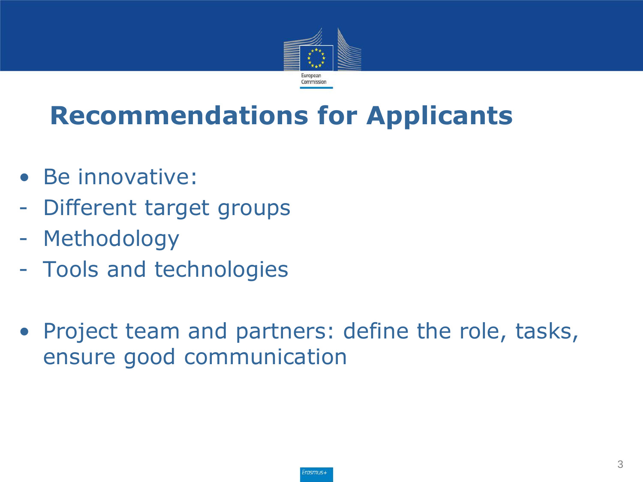

#### **Recommendations for Applicants**

- Be innovative:
- Different target groups
- Methodology
- Tools and technologies
- Project team and partners: define the role, tasks, ensure good communication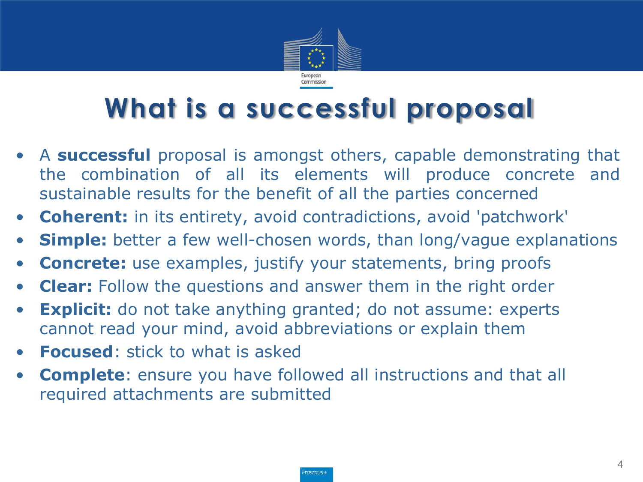

## **What is a successful proposal**

- A **successful** proposal is amongst others, capable demonstrating that the combination of all its elements will produce concrete and sustainable results for the benefit of all the parties concerned
- **Coherent:** in its entirety, avoid contradictions, avoid 'patchwork'
- **Simple:** better a few well-chosen words, than long/vague explanations
- **Concrete:** use examples, justify your statements, bring proofs
- **Clear:** Follow the questions and answer them in the right order
- **Explicit:** do not take anything granted; do not assume: experts cannot read your mind, avoid abbreviations or explain them
- **Focused**: stick to what is asked
- **Complete**: ensure you have followed all instructions and that all required attachments are submitted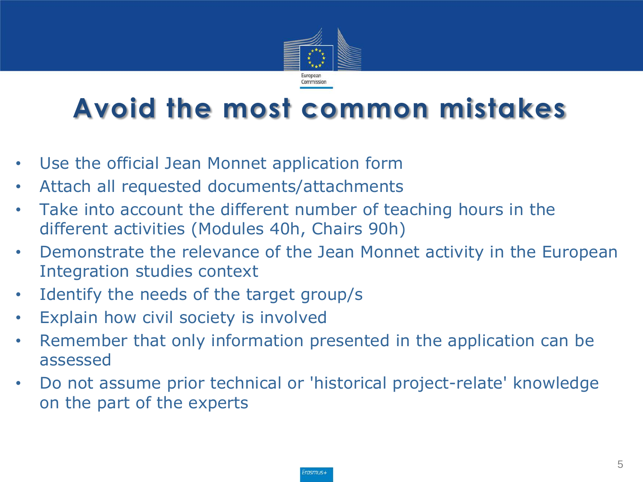

#### **Avoid the most common mistakes**

- Use the official Jean Monnet application form
- Attach all requested documents/attachments
- Take into account the different number of teaching hours in the different activities (Modules 40h, Chairs 90h)
- Demonstrate the relevance of the Jean Monnet activity in the European Integration studies context
- Identify the needs of the target group/s
- Explain how civil society is involved
- Remember that only information presented in the application can be assessed
- Do not assume prior technical or 'historical project-relate' knowledge on the part of the experts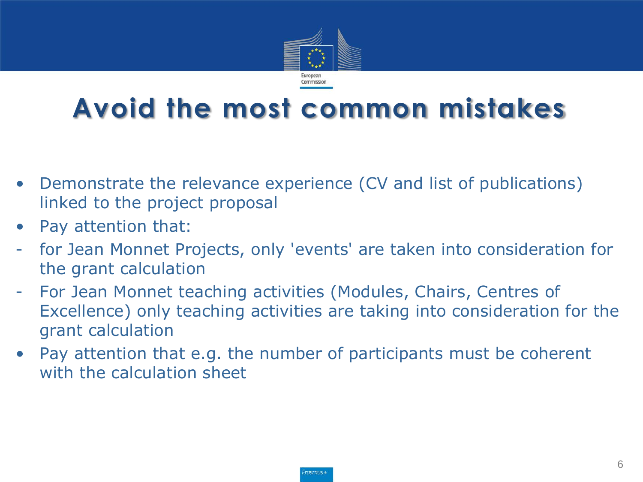

#### **Avoid the most common mistakes**

- Demonstrate the relevance experience (CV and list of publications) linked to the project proposal
- Pay attention that:
- for Jean Monnet Projects, only 'events' are taken into consideration for the grant calculation
- For Jean Monnet teaching activities (Modules, Chairs, Centres of Excellence) only teaching activities are taking into consideration for the grant calculation
- Pay attention that e.g. the number of participants must be coherent with the calculation sheet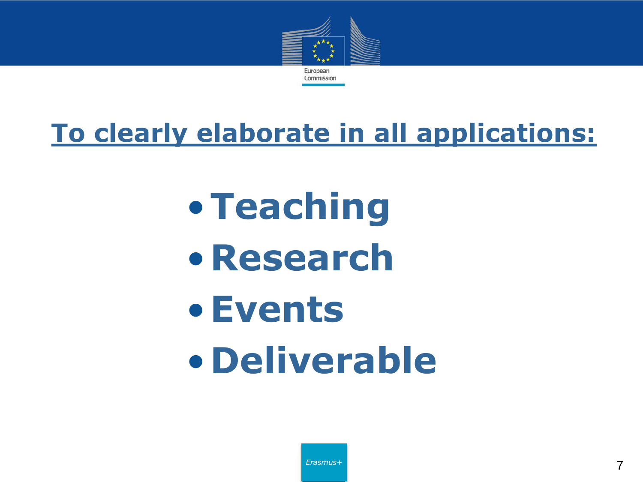

#### **To clearly elaborate in all applications:**

•**Teaching** •**Research** •**Events** •**Deliverable**

*Erasmus+*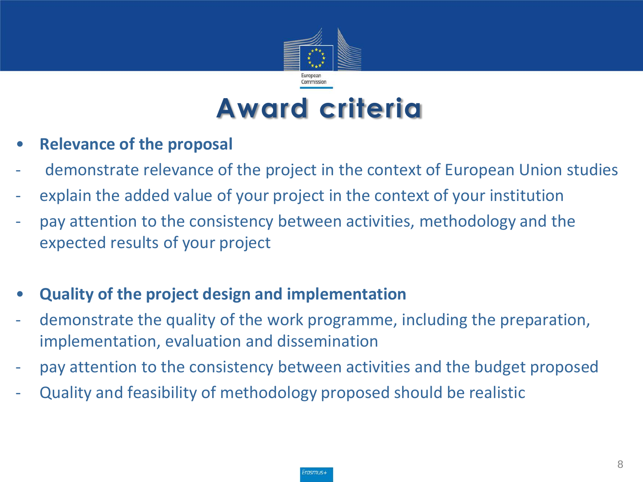

## **Award criteria**

- **Relevance of the proposal**
- demonstrate relevance of the project in the context of European Union studies
- explain the added value of your project in the context of your institution
- pay attention to the consistency between activities, methodology and the expected results of your project
- **Quality of the project design and implementation**
- demonstrate the quality of the work programme, including the preparation, implementation, evaluation and dissemination
- pay attention to the consistency between activities and the budget proposed
- Quality and feasibility of methodology proposed should be realistic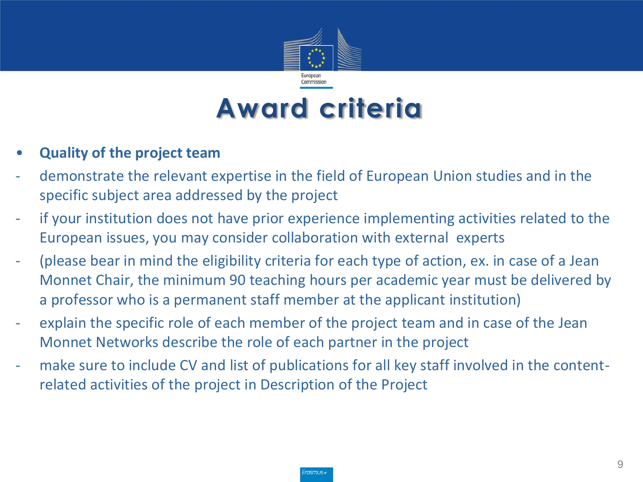

## **Award criteria**

#### • **Quality of the project team**

- demonstrate the relevant expertise in the field of European Union studies and in the specific subject area addressed by the project
- if your institution does not have prior experience implementing activities related to the European issues, you may consider collaboration with external experts
- (please bear in mind the eligibility criteria for each type of action, ex. in case of a Jean Monnet Chair, the minimum 90 teaching hours per academic year must be delivered by a professor who is a permanent staff member at the applicant institution)
- explain the specific role of each member of the project team and in case of the Jean Monnet Networks describe the role of each partner in the project
- make sure to include CV and list of publications for all key staff involved in the contentrelated activities of the project in Description of the Project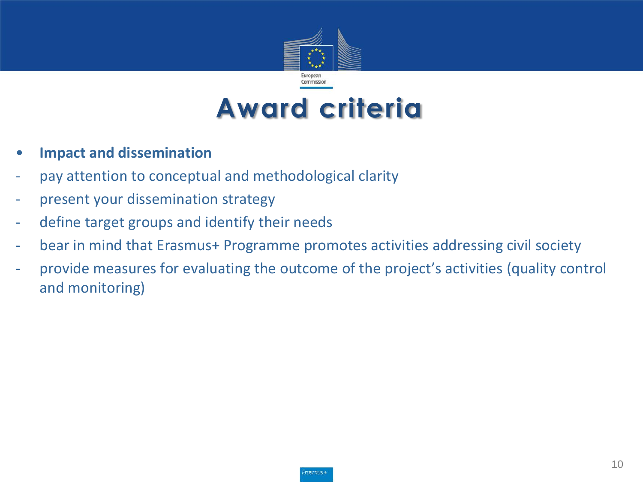

## **Award criteria**

- **Impact and dissemination**
- pay attention to conceptual and methodological clarity
- present your dissemination strategy
- define target groups and identify their needs
- bear in mind that Erasmus+ Programme promotes activities addressing civil society
- provide measures for evaluating the outcome of the project's activities (quality control and monitoring)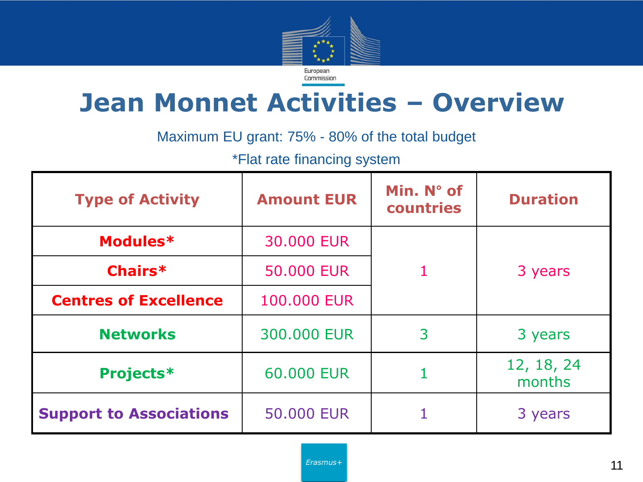

#### **Jean Monnet Activities – Overview**

Maximum EU grant: 75% - 80% of the total budget

\*Flat rate financing system

| <b>Type of Activity</b>        | <b>Amount EUR</b> | Min. N° of<br>countries | <b>Duration</b>      |
|--------------------------------|-------------------|-------------------------|----------------------|
| Modules*                       | 30,000 EUR        |                         |                      |
| Chairs*                        | 50,000 EUR        |                         | 3 years              |
| <b>Centres of Excellence</b>   | 100.000 EUR       |                         |                      |
| <b>Networks</b>                | 300.000 EUR       | 3                       | 3 years              |
| <b>Projects*</b>               | 60.000 EUR        |                         | 12, 18, 24<br>months |
| <b>Support to Associations</b> | 50.000 EUR        |                         | 3 years              |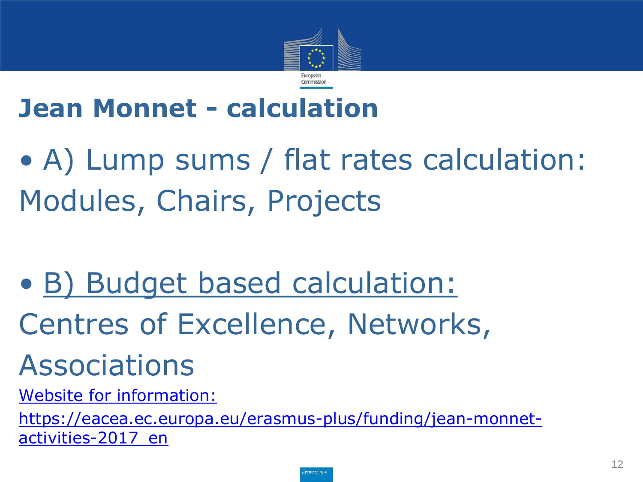

#### **Jean Monnet - calculation**

• A) Lump sums / flat rates calculation: Modules, Chairs, Projects

- B) Budget based calculation:
- Centres of Excellence, Networks,

# Associations

[Website for information:](https://eacea.ec.europa.eu/erasmus-plus/funding/jean-monnet-activities-2017_en) 

[https://eacea.ec.europa.eu/erasmus-plus/funding/jean-monnet](https://eacea.ec.europa.eu/erasmus-plus/funding/jean-monnet-activities-2017_en)[activities-2017\\_en](https://eacea.ec.europa.eu/erasmus-plus/funding/jean-monnet-activities-2017_en)